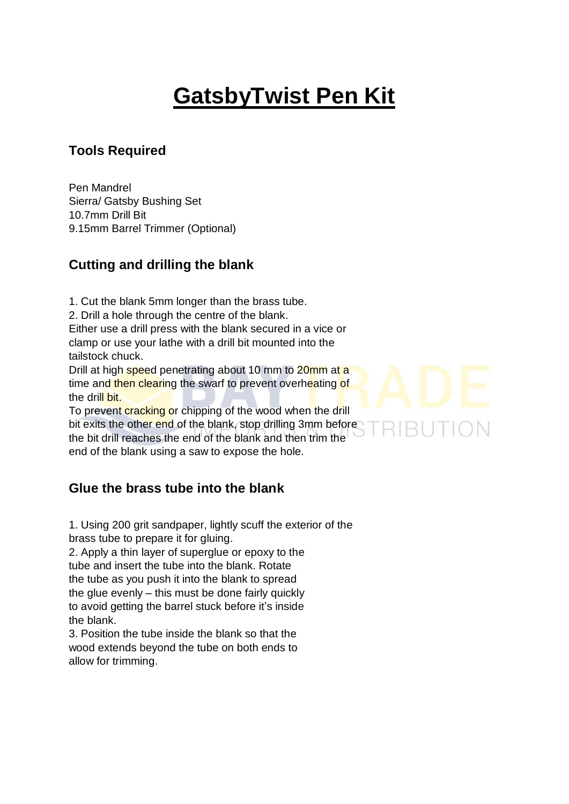# **GatsbyTwist Pen Kit**

### **Tools Required**

Pen Mandrel Sierra/ Gatsby Bushing Set 10.7mm Drill Bit 9.15mm Barrel Trimmer (Optional)

## **Cutting and drilling the blank**

1. Cut the blank 5mm longer than the brass tube.

2. Drill a hole through the centre of the blank.

Either use a drill press with the blank secured in a vice or clamp or use your lathe with a drill bit mounted into the tailstock chuck.

Drill at high speed penetrating about 10 mm to 20mm at a time and then clearing the swarf to prevent overheating of the drill bit.

To prevent cracking or chipping of the wood when the drill bit exits the other end of the blank, stop drilling 3mm before the bit drill reaches the end of the blank and then trim the end of the blank using a saw to expose the hole.

## **Glue the brass tube into the blank**

1. Using 200 grit sandpaper, lightly scuff the exterior of the brass tube to prepare it for gluing.

2. Apply a thin layer of superglue or epoxy to the tube and insert the tube into the blank. Rotate the tube as you push it into the blank to spread the glue evenly – this must be done fairly quickly to avoid getting the barrel stuck before it's inside the blank.

3. Position the tube inside the blank so that the wood extends beyond the tube on both ends to allow for trimming.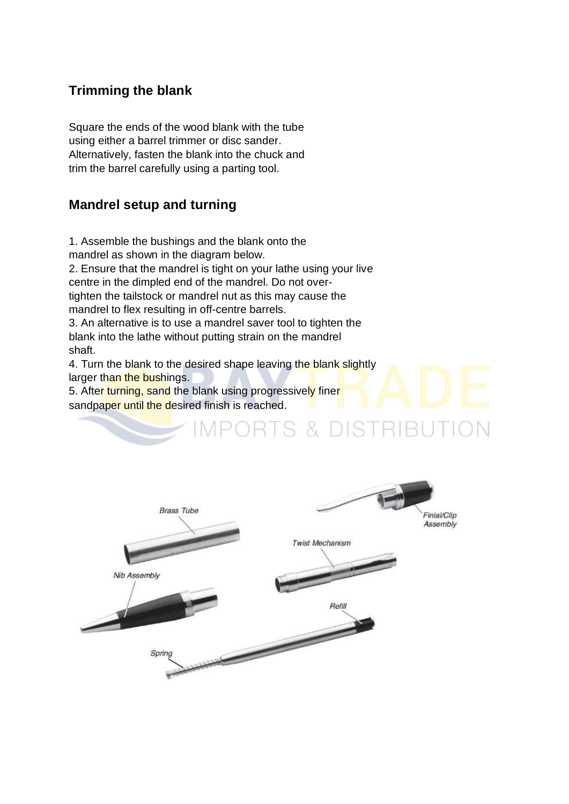#### **Trimming the blank**

Square the ends of the wood blank with the tube using either a barrel trimmer or disc sander. Alternatively, fasten the blank into the chuck and trim the barrel carefully using a parting tool.

#### **Mandrel setup and turning**

1. Assemble the bushings and the blank onto the mandrel as shown in the diagram below. 2. Ensure that the mandrel is tight on your lathe using your live centre in the dimpled end of the mandrel. Do not overtighten the tailstock or mandrel nut as this may cause the mandrel to flex resulting in off-centre barrels.

3. An alternative is to use a mandrel saver tool to tighten the blank into the lathe without putting strain on the mandrel shaft.

4. Turn the blank to the desired shape leaving the blank slightly larger than the bushings.

5. After turning, sand the blank using progressively finer sandpaper until the desired finish is reached.